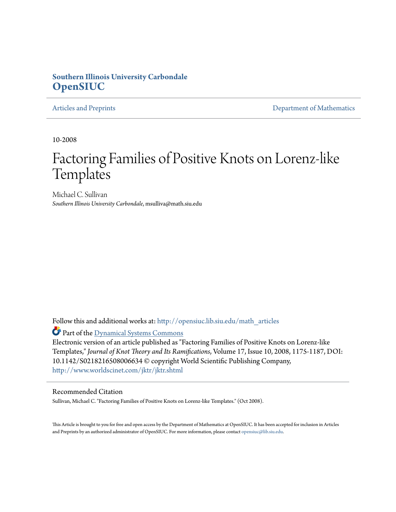## **Southern Illinois University Carbondale [OpenSIUC](http://opensiuc.lib.siu.edu?utm_source=opensiuc.lib.siu.edu%2Fmath_articles%2F83&utm_medium=PDF&utm_campaign=PDFCoverPages)**

[Articles and Preprints](http://opensiuc.lib.siu.edu/math_articles?utm_source=opensiuc.lib.siu.edu%2Fmath_articles%2F83&utm_medium=PDF&utm_campaign=PDFCoverPages) **[Department of Mathematics](http://opensiuc.lib.siu.edu/math?utm_source=opensiuc.lib.siu.edu%2Fmath_articles%2F83&utm_medium=PDF&utm_campaign=PDFCoverPages)** Department of Mathematics

10-2008

# Factoring Families of Positive Knots on Lorenz-like **Templates**

Michael C. Sullivan *Southern Illinois University Carbondale*, msulliva@math.siu.edu

Follow this and additional works at: [http://opensiuc.lib.siu.edu/math\\_articles](http://opensiuc.lib.siu.edu/math_articles?utm_source=opensiuc.lib.siu.edu%2Fmath_articles%2F83&utm_medium=PDF&utm_campaign=PDFCoverPages)

Part of the [Dynamical Systems Commons](http://network.bepress.com/hgg/discipline/179?utm_source=opensiuc.lib.siu.edu%2Fmath_articles%2F83&utm_medium=PDF&utm_campaign=PDFCoverPages)

Electronic version of an article published as "Factoring Families of Positive Knots on Lorenz-like Templates," *Journal of Knot Theory and Its Ramifications*, Volume 17, Issue 10, 2008, 1175-1187, DOI: 10.1142/S0218216508006634 © copyright World Scientific Publishing Company, <http://www.worldscinet.com/jktr/jktr.shtml>

#### Recommended Citation

Sullivan, Michael C. "Factoring Families of Positive Knots on Lorenz-like Templates." (Oct 2008).

This Article is brought to you for free and open access by the Department of Mathematics at OpenSIUC. It has been accepted for inclusion in Articles and Preprints by an authorized administrator of OpenSIUC. For more information, please contact [opensiuc@lib.siu.edu](mailto:opensiuc@lib.siu.edu).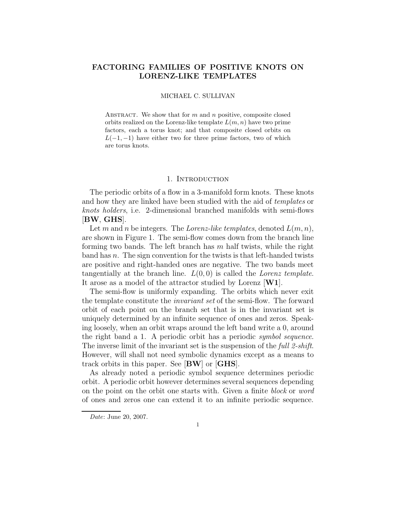### FACTORING FAMILIES OF POSITIVE KNOTS ON LORENZ-LIKE TEMPLATES

#### MICHAEL C. SULLIVAN

ABSTRACT. We show that for  $m$  and  $n$  positive, composite closed orbits realized on the Lorenz-like template  $L(m, n)$  have two prime factors, each a torus knot; and that composite closed orbits on  $L(-1, -1)$  have either two for three prime factors, two of which are torus knots.

#### 1. INTRODUCTION

The periodic orbits of a flow in a 3-manifold form knots. These knots and how they are linked have been studied with the aid of templates or knots holders, i.e. 2-dimensional branched manifolds with semi-flows [BW, GHS].

Let m and n be integers. The *Lorenz-like templates*, denoted  $L(m, n)$ , are shown in Figure 1. The semi-flow comes down from the branch line forming two bands. The left branch has  $m$  half twists, while the right band has  $n$ . The sign convention for the twists is that left-handed twists are positive and right-handed ones are negative. The two bands meet tangentially at the branch line.  $L(0,0)$  is called the *Lorenz template*. It arose as a model of the attractor studied by Lorenz [W1].

The semi-flow is uniformly expanding. The orbits which never exit the template constitute the invariant set of the semi-flow. The forward orbit of each point on the branch set that is in the invariant set is uniquely determined by an infinite sequence of ones and zeros. Speaking loosely, when an orbit wraps around the left band write a 0, around the right band a 1. A periodic orbit has a periodic symbol sequence. The inverse limit of the invariant set is the suspension of the full 2-shift. However, will shall not need symbolic dynamics except as a means to track orbits in this paper. See [BW] or [GHS].

As already noted a periodic symbol sequence determines periodic orbit. A periodic orbit however determines several sequences depending on the point on the orbit one starts with. Given a finite block or word of ones and zeros one can extend it to an infinite periodic sequence.

Date: June 20, 2007.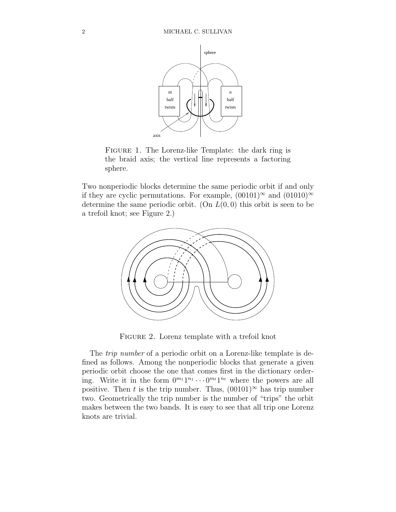

Figure 1. The Lorenz-like Template: the dark ring is the braid axis; the vertical line represents a factoring sphere.

Two nonperiodic blocks determine the same periodic orbit if and only if they are cyclic permutations. For example,  $(00101)^\infty$  and  $(01010)^\infty$ determine the same periodic orbit. (On  $L(0, 0)$  this orbit is seen to be a trefoil knot; see Figure 2.)



FIGURE 2. Lorenz template with a trefoil knot

The *trip number* of a periodic orbit on a Lorenz-like template is defined as follows. Among the nonperiodic blocks that generate a given periodic orbit choose the one that comes first in the dictionary ordering. Write it in the form  $0^{m_1}1^{n_1}\cdots0^{m_t}1^{n_t}$  where the powers are all positive. Then t is the trip number. Thus,  $(00101)^\infty$  has trip number two. Geometrically the trip number is the number of "trips" the orbit makes between the two bands. It is easy to see that all trip one Lorenz knots are trivial.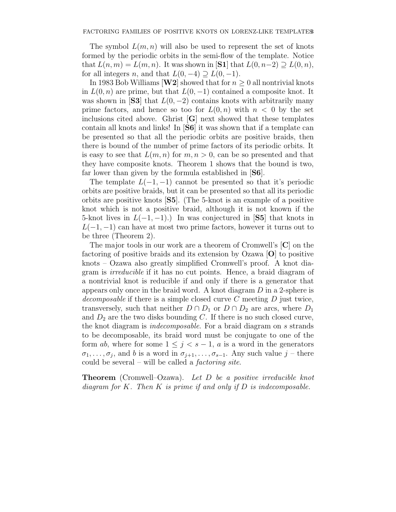The symbol  $L(m, n)$  will also be used to represent the set of knots formed by the periodic orbits in the semi-flow of the template. Notice that  $L(n, m) = L(m, n)$ . It was shown in  $|\mathbf{S1}|$  that  $L(0, n-2) \supseteq L(0, n)$ , for all integers n, and that  $L(0, -4) \supseteq L(0, -1)$ .

In 1983 Bob Williams [W2] showed that for  $n \geq 0$  all nontrivial knots in  $L(0, n)$  are prime, but that  $L(0, -1)$  contained a composite knot. It was shown in [S3] that  $L(0, -2)$  contains knots with arbitrarily many prime factors, and hence so too for  $L(0, n)$  with  $n < 0$  by the set inclusions cited above. Ghrist  $[G]$  next showed that these templates contain all knots and links! In [S6] it was shown that if a template can be presented so that all the periodic orbits are positive braids, then there is bound of the number of prime factors of its periodic orbits. It is easy to see that  $L(m, n)$  for  $m, n > 0$ , can be so presented and that they have composite knots. Theorem 1 shows that the bound is two, far lower than given by the formula established in [S6].

The template  $L(-1,-1)$  cannot be presented so that it's periodic orbits are positive braids, but it can be presented so that all its periodic orbits are positive knots [S5]. (The 5-knot is an example of a positive knot which is not a positive braid, although it is not known if the 5-knot lives in  $L(-1, -1)$ .) In was conjectured in [S5] that knots in  $L(-1,-1)$  can have at most two prime factors, however it turns out to be three (Theorem 2).

The major tools in our work are a theorem of Cromwell's [C] on the factoring of positive braids and its extension by Ozawa [O] to positive knots – Ozawa also greatly simplified Cromwell's proof. A knot diagram is irreducible if it has no cut points. Hence, a braid diagram of a nontrivial knot is reducible if and only if there is a generator that appears only once in the braid word. A knot diagram  $D$  in a 2-sphere is decomposable if there is a simple closed curve  $C$  meeting  $D$  just twice, transversely, such that neither  $D \cap D_1$  or  $D \cap D_2$  are arcs, where  $D_1$ and  $D_2$  are the two disks bounding C. If there is no such closed curve, the knot diagram is indecomposable. For a braid diagram on s strands to be decomposable, its braid word must be conjugate to one of the form ab, where for some  $1 \leq j \leq s-1$ , a is a word in the generators  $\sigma_1, \ldots, \sigma_j$ , and b is a word in  $\sigma_{j+1}, \ldots, \sigma_{s-1}$ . Any such value  $j$  – there could be several – will be called a factoring site.

**Theorem** (Cromwell–Ozawa). Let D be a positive irreducible knot diagram for K. Then K is prime if and only if  $D$  is indecomposable.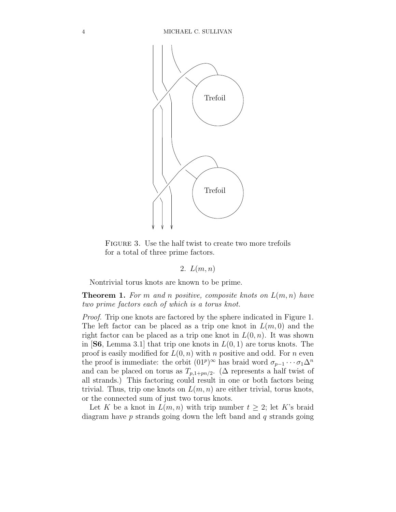

FIGURE 3. Use the half twist to create two more trefoils for a total of three prime factors.

#### 2.  $L(m, n)$

Nontrivial torus knots are known to be prime.

**Theorem 1.** For m and n positive, composite knots on  $L(m, n)$  have two prime factors each of which is a torus knot.

Proof. Trip one knots are factored by the sphere indicated in Figure 1. The left factor can be placed as a trip one knot in  $L(m, 0)$  and the right factor can be placed as a trip one knot in  $L(0, n)$ . It was shown in [S6, Lemma 3.1] that trip one knots in  $L(0, 1)$  are torus knots. The proof is easily modified for  $L(0, n)$  with n positive and odd. For n even the proof is immediate: the orbit  $(01^p)^\infty$  has braid word  $\sigma_{p-1} \cdots \sigma_1 \Delta^n$ and can be placed on torus as  $T_{p,1+pn/2}$ . ( $\Delta$  represents a half twist of all strands.) This factoring could result in one or both factors being trivial. Thus, trip one knots on  $L(m, n)$  are either trivial, torus knots, or the connected sum of just two torus knots.

Let K be a knot in  $L(m, n)$  with trip number  $t \geq 2$ ; let K's braid diagram have  $p$  strands going down the left band and  $q$  strands going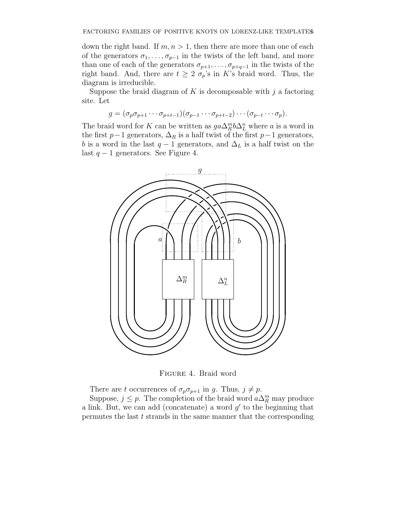down the right band. If  $m, n > 1$ , then there are more than one of each of the generators  $\sigma_1, \ldots, \sigma_{p-1}$  in the twists of the left band, and more than one of each of the generators  $\sigma_{p+1}, \ldots, \sigma_{p+q-1}$  in the twists of the right band. And, there are  $t \geq 2 \sigma_p$ 's in K's braid word. Thus, the diagram is irreducible.

Suppose the braid diagram of K is decomposable with  $j$  a factoring site. Let

$$
g = (\sigma_p \sigma_{p+1} \cdots \sigma_{p+t-1})(\sigma_{p-1} \cdots \sigma_{p+t-2}) \cdots (\sigma_{p-t} \cdots \sigma_p).
$$

The braid word for K can be written as  $ga\Delta_R^m b\Delta_L^n$  where a is a word in the first  $p-1$  generators,  $\Delta_R$  is a half twist of the first  $p-1$  generators, b is a word in the last  $q-1$  generators, and  $\Delta_L$  is a half twist on the last  $q − 1$  generators. See Figure 4.



Figure 4. Braid word

There are t occurrences of  $\sigma_p \sigma_{p+1}$  in g. Thus,  $j \neq p$ .

Suppose,  $j \leq p$ . The completion of the braid word  $a\Delta_R^m$  may produce a link. But, we can add (concatenate) a word  $g'$  to the beginning that permutes the last t strands in the same manner that the corresponding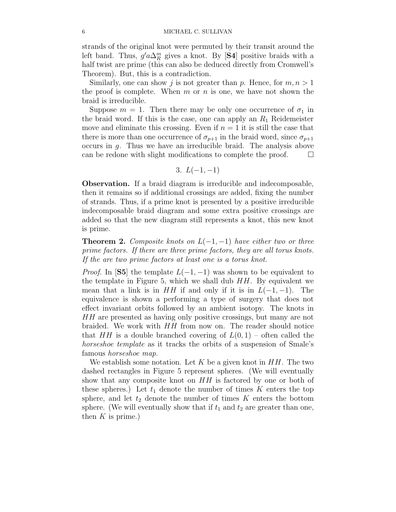strands of the original knot were permuted by their transit around the left band. Thus,  $g' a \Delta_R^m$  gives a knot. By [S4] positive braids with a half twist are prime (this can also be deduced directly from Cromwell's Theorem). But, this is a contradiction.

Similarly, one can show j is not greater than p. Hence, for  $m, n > 1$ the proof is complete. When  $m$  or  $n$  is one, we have not shown the braid is irreducible.

Suppose  $m = 1$ . Then there may be only one occurrence of  $\sigma_1$  in the braid word. If this is the case, one can apply an  $R_1$  Reidemeister move and eliminate this crossing. Even if  $n = 1$  it is still the case that there is more than one occurrence of  $\sigma_{p+1}$  in the braid word, since  $\sigma_{p+1}$ occurs in g. Thus we have an irreducible braid. The analysis above can be redone with slight modifications to complete the proof.  $\Box$ 

3. 
$$
L(-1,-1)
$$

Observation. If a braid diagram is irreducible and indecomposable, then it remains so if additional crossings are added, fixing the number of strands. Thus, if a prime knot is presented by a positive irreducible indecomposable braid diagram and some extra positive crossings are added so that the new diagram still represents a knot, this new knot is prime.

**Theorem 2.** Composite knots on  $L(-1, -1)$  have either two or three prime factors. If there are three prime factors, they are all torus knots. If the are two prime factors at least one is a torus knot.

*Proof.* In [S5] the template  $L(-1, -1)$  was shown to be equivalent to the template in Figure 5, which we shall dub  $HH$ . By equivalent we mean that a link is in  $HH$  if and only if it is in  $L(-1,-1)$ . The equivalence is shown a performing a type of surgery that does not effect invariant orbits followed by an ambient isotopy. The knots in HH are presented as having only positive crossings, but many are not braided. We work with HH from now on. The reader should notice that  $HH$  is a double branched covering of  $L(0, 1)$  – often called the horseshoe template as it tracks the orbits of a suspension of Smale's famous horseshoe map.

We establish some notation. Let K be a given knot in  $HH$ . The two dashed rectangles in Figure 5 represent spheres. (We will eventually show that any composite knot on HH is factored by one or both of these spheres.) Let  $t_1$  denote the number of times K enters the top sphere, and let  $t_2$  denote the number of times K enters the bottom sphere. (We will eventually show that if  $t_1$  and  $t_2$  are greater than one, then  $K$  is prime.)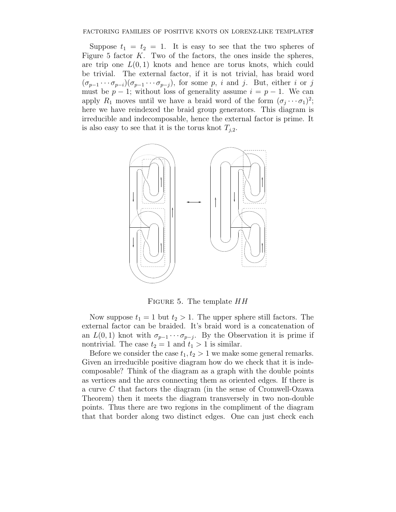Suppose  $t_1 = t_2 = 1$ . It is easy to see that the two spheres of Figure 5 factor  $K$ . Two of the factors, the ones inside the spheres, are trip one  $L(0, 1)$  knots and hence are torus knots, which could be trivial. The external factor, if it is not trivial, has braid word  $(\sigma_{p-1}\cdots\sigma_{p-i})(\sigma_{p-1}\cdots\sigma_{p-j}),$  for some p, i and j. But, either i or j must be  $p-1$ ; without loss of generality assume  $i = p-1$ . We can apply  $R_1$  moves until we have a braid word of the form  $(\sigma_j \cdots \sigma_1)^2$ ; here we have reindexed the braid group generators. This diagram is irreducible and indecomposable, hence the external factor is prime. It is also easy to see that it is the torus knot  $T_{j,2}$ .



FIGURE 5. The template  $HH$ 

Now suppose  $t_1 = 1$  but  $t_2 > 1$ . The upper sphere still factors. The external factor can be braided. It's braid word is a concatenation of an  $L(0,1)$  knot with  $\sigma_{p-1}\cdots\sigma_{p-j}$ . By the Observation it is prime if nontrivial. The case  $t_2 = 1$  and  $t_1 > 1$  is similar.

Before we consider the case  $t_1, t_2 > 1$  we make some general remarks. Given an irreducible positive diagram how do we check that it is indecomposable? Think of the diagram as a graph with the double points as vertices and the arcs connecting them as oriented edges. If there is a curve C that factors the diagram (in the sense of Cromwell-Ozawa Theorem) then it meets the diagram transversely in two non-double points. Thus there are two regions in the compliment of the diagram that that border along two distinct edges. One can just check each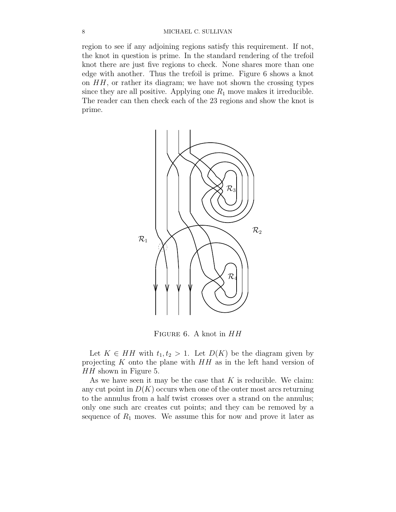region to see if any adjoining regions satisfy this requirement. If not, the knot in question is prime. In the standard rendering of the trefoil knot there are just five regions to check. None shares more than one edge with another. Thus the trefoil is prime. Figure 6 shows a knot on  $HH$ , or rather its diagram; we have not shown the crossing types since they are all positive. Applying one  $R_1$  move makes it irreducible. The reader can then check each of the 23 regions and show the knot is prime.



FIGURE 6. A knot in  $HH$ 

Let  $K \in HH$  with  $t_1, t_2 > 1$ . Let  $D(K)$  be the diagram given by projecting  $K$  onto the plane with  $HH$  as in the left hand version of HH shown in Figure 5.

As we have seen it may be the case that  $K$  is reducible. We claim: any cut point in  $D(K)$  occurs when one of the outer most arcs returning to the annulus from a half twist crosses over a strand on the annulus; only one such arc creates cut points; and they can be removed by a sequence of  $R_1$  moves. We assume this for now and prove it later as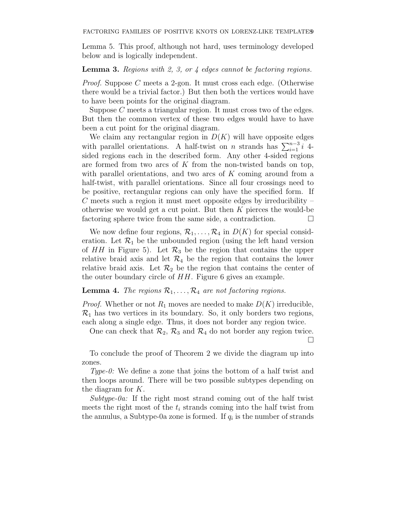Lemma 5. This proof, although not hard, uses terminology developed below and is logically independent.

**Lemma 3.** Regions with 2, 3, or  $\frac{1}{4}$  edges cannot be factoring regions.

Proof. Suppose C meets a 2-gon. It must cross each edge. (Otherwise there would be a trivial factor.) But then both the vertices would have to have been points for the original diagram.

Suppose C meets a triangular region. It must cross two of the edges. But then the common vertex of these two edges would have to have been a cut point for the original diagram.

We claim any rectangular region in  $D(K)$  will have opposite edges with parallel orientations. A half-twist on n strands has  $\sum_{i=1}^{n-3} i$  4sided regions each in the described form. Any other 4-sided regions are formed from two arcs of  $K$  from the non-twisted bands on top, with parallel orientations, and two arcs of K coming around from a half-twist, with parallel orientations. Since all four crossings need to be positive, rectangular regions can only have the specified form. If  $C$  meets such a region it must meet opposite edges by irreducibility – otherwise we would get a cut point. But then  $K$  pierces the would-be factoring sphere twice from the same side, a contradiction.  $\Box$ 

We now define four regions,  $\mathcal{R}_1, \ldots, \mathcal{R}_4$  in  $D(K)$  for special consideration. Let  $\mathcal{R}_1$  be the unbounded region (using the left hand version of HH in Figure 5). Let  $\mathcal{R}_3$  be the region that contains the upper relative braid axis and let  $\mathcal{R}_4$  be the region that contains the lower relative braid axis. Let  $\mathcal{R}_2$  be the region that contains the center of the outer boundary circle of  $HH$ . Figure 6 gives an example.

#### **Lemma 4.** The regions  $\mathcal{R}_1, \ldots, \mathcal{R}_4$  are not factoring regions.

*Proof.* Whether or not  $R_1$  moves are needed to make  $D(K)$  irreducible,  $\mathcal{R}_1$  has two vertices in its boundary. So, it only borders two regions, each along a single edge. Thus, it does not border any region twice.

One can check that  $\mathcal{R}_2$ ,  $\mathcal{R}_3$  and  $\mathcal{R}_4$  do not border any region twice.  $\Box$ 

To conclude the proof of Theorem 2 we divide the diagram up into zones.

Type-0: We define a zone that joins the bottom of a half twist and then loops around. There will be two possible subtypes depending on the diagram for K.

Subtype-0a: If the right most strand coming out of the half twist meets the right most of the  $t_i$  strands coming into the half twist from the annulus, a Subtype-0a zone is formed. If  $q_i$  is the number of strands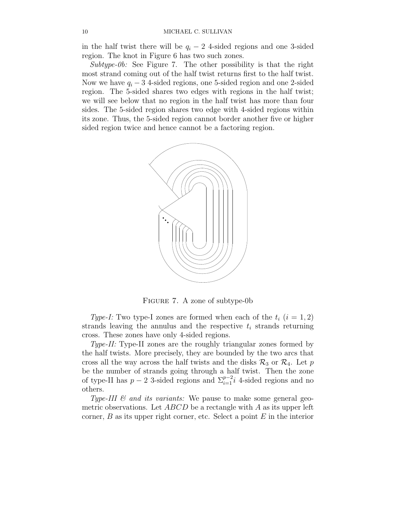in the half twist there will be  $q_i - 2$  4-sided regions and one 3-sided region. The knot in Figure 6 has two such zones.

Subtype-0b: See Figure 7. The other possibility is that the right most strand coming out of the half twist returns first to the half twist. Now we have  $q_i - 3$  4-sided regions, one 5-sided region and one 2-sided region. The 5-sided shares two edges with regions in the half twist; we will see below that no region in the half twist has more than four sides. The 5-sided region shares two edge with 4-sided regions within its zone. Thus, the 5-sided region cannot border another five or higher sided region twice and hence cannot be a factoring region.



Figure 7. A zone of subtype-0b

Type-I: Two type-I zones are formed when each of the  $t_i$   $(i = 1, 2)$ strands leaving the annulus and the respective  $t_i$  strands returning cross. These zones have only 4-sided regions.

Type-II: Type-II zones are the roughly triangular zones formed by the half twists. More precisely, they are bounded by the two arcs that cross all the way across the half twists and the disks  $\mathcal{R}_3$  or  $\mathcal{R}_4$ . Let p be the number of strands going through a half twist. Then the zone of type-II has  $p-2$  3-sided regions and  $\sum_{i=1}^{p-2} i$  4-sided regions and no others.

Type-III  $\mathcal{C}$  and its variants: We pause to make some general geometric observations. Let  $ABCD$  be a rectangle with A as its upper left corner,  $B$  as its upper right corner, etc. Select a point  $E$  in the interior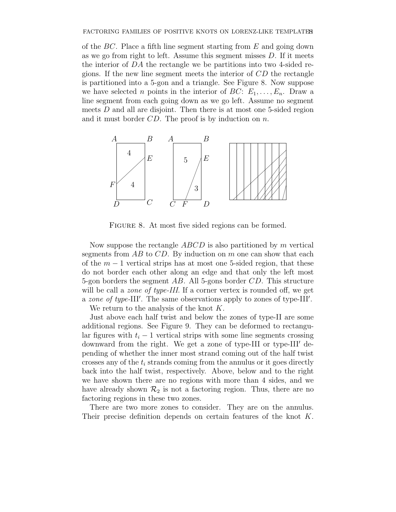of the  $BC$ . Place a fifth line segment starting from  $E$  and going down as we go from right to left. Assume this segment misses D. If it meets the interior of DA the rectangle we be partitions into two 4-sided regions. If the new line segment meets the interior of  $CD$  the rectangle is partitioned into a 5-gon and a triangle. See Figure 8. Now suppose we have selected *n* points in the interior of  $BC: E_1, \ldots, E_n$ . Draw a line segment from each going down as we go left. Assume no segment meets D and all are disjoint. Then there is at most one 5-sided region and it must border  $CD$ . The proof is by induction on n.



FIGURE 8. At most five sided regions can be formed.

Now suppose the rectangle  $ABCD$  is also partitioned by m vertical segments from  $AB$  to  $CD$ . By induction on m one can show that each of the  $m-1$  vertical strips has at most one 5-sided region, that these do not border each other along an edge and that only the left most 5-gon borders the segment  $AB$ . All 5-gons border  $CD$ . This structure will be call a *zone of type-III*. If a corner vertex is rounded off, we get a zone of type-III'. The same observations apply to zones of type-III'.

We return to the analysis of the knot  $K$ .

Just above each half twist and below the zones of type-II are some additional regions. See Figure 9. They can be deformed to rectangular figures with  $t_i - 1$  vertical strips with some line segments crossing downward from the right. We get a zone of type-III or type-III′ depending of whether the inner most strand coming out of the half twist crosses any of the  $t_i$  strands coming from the annulus or it goes directly back into the half twist, respectively. Above, below and to the right we have shown there are no regions with more than 4 sides, and we have already shown  $\mathcal{R}_2$  is not a factoring region. Thus, there are no factoring regions in these two zones.

There are two more zones to consider. They are on the annulus. Their precise definition depends on certain features of the knot K.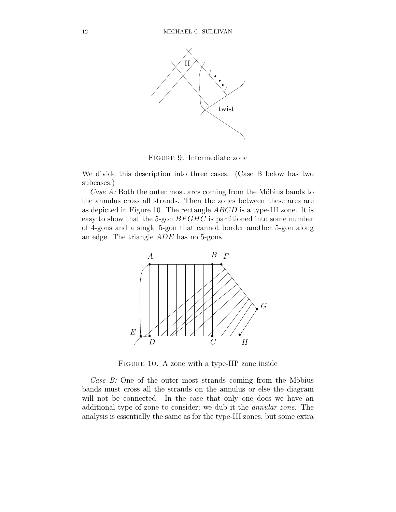

Figure 9. Intermediate zone

We divide this description into three cases. (Case B below has two subcases.)

Case  $A$ : Both the outer most arcs coming from the Möbius bands to the annulus cross all strands. Then the zones between these arcs are as depicted in Figure 10. The rectangle ABCD is a type-III zone. It is easy to show that the 5-gon  $BFGHC$  is partitioned into some number of 4-gons and a single 5-gon that cannot border another 5-gon along an edge. The triangle ADE has no 5-gons.



FIGURE 10. A zone with a type-III' zone inside

Case  $B$ : One of the outer most strands coming from the Möbius bands must cross all the strands on the annulus or else the diagram will not be connected. In the case that only one does we have an additional type of zone to consider; we dub it the annular zone. The analysis is essentially the same as for the type-III zones, but some extra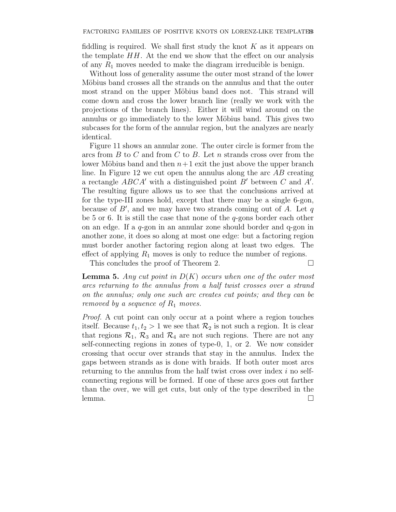fiddling is required. We shall first study the knot  $K$  as it appears on the template  $HH$ . At the end we show that the effect on our analysis of any  $R_1$  moves needed to make the diagram irreducible is benign.

Without loss of generality assume the outer most strand of the lower Möbius band crosses all the strands on the annulus and that the outer most strand on the upper Möbius band does not. This strand will come down and cross the lower branch line (really we work with the projections of the branch lines). Either it will wind around on the annulus or go immediately to the lower Möbius band. This gives two subcases for the form of the annular region, but the analyzes are nearly identical.

Figure 11 shows an annular zone. The outer circle is former from the arcs from  $B$  to  $C$  and from  $C$  to  $B$ . Let  $n$  strands cross over from the lower Möbius band and then  $n+1$  exit the just above the upper branch line. In Figure 12 we cut open the annulus along the arc  $AB$  creating a rectangle  $ABCA'$  with a distinguished point  $B'$  between C and  $A'$ . The resulting figure allows us to see that the conclusions arrived at for the type-III zones hold, except that there may be a single 6-gon, because of  $B'$ , and we may have two strands coming out of  $\overline{A}$ . Let  $\overline{q}$ be 5 or 6. It is still the case that none of the  $q$ -gons border each other on an edge. If a q-gon in an annular zone should border and q-gon in another zone, it does so along at most one edge: but a factoring region must border another factoring region along at least two edges. The effect of applying  $R_1$  moves is only to reduce the number of regions.

This concludes the proof of Theorem 2.

**Lemma 5.** Any cut point in  $D(K)$  occurs when one of the outer most arcs returning to the annulus from a half twist crosses over a strand on the annulus; only one such arc creates cut points; and they can be removed by a sequence of  $R_1$  moves.

Proof. A cut point can only occur at a point where a region touches itself. Because  $t_1, t_2 > 1$  we see that  $\mathcal{R}_2$  is not such a region. It is clear that regions  $\mathcal{R}_1$ ,  $\mathcal{R}_3$  and  $\mathcal{R}_4$  are not such regions. There are not any self-connecting regions in zones of type-0, 1, or 2. We now consider crossing that occur over strands that stay in the annulus. Index the gaps between strands as is done with braids. If both outer most arcs returning to the annulus from the half twist cross over index i no selfconnecting regions will be formed. If one of these arcs goes out farther than the over, we will get cuts, but only of the type described in the lemma. □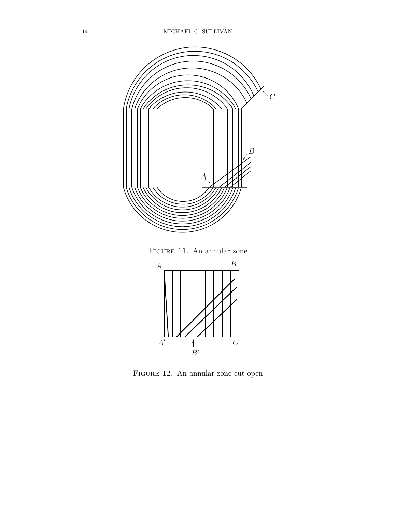

Figure 12. An annular zone cut open